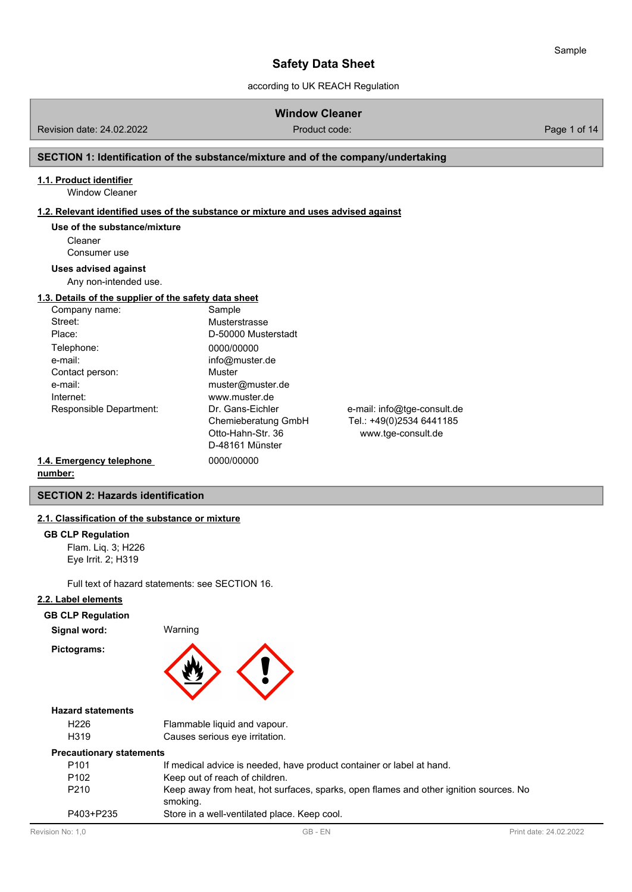according to UK REACH Regulation

# **Window Cleaner**

Revision date: 24.02.2022 **Product code:** Product code: Product code: Page 1 of 14

# **SECTION 1: Identification of the substance/mixture and of the company/undertaking**

# **1.1. Product identifier**

Window Cleaner

### **1.2. Relevant identified uses of the substance or mixture and uses advised against**

#### **Use of the substance/mixture**

Cleaner Consumer use

#### **Uses advised against**

Any non-intended use.

## **1.3. Details of the supplier of the safety data sheet**

| Company name:            | Sample              |                             |
|--------------------------|---------------------|-----------------------------|
| Street:                  | Musterstrasse       |                             |
| Place:                   | D-50000 Musterstadt |                             |
| Telephone:               | 0000/00000          |                             |
| e-mail:                  | info@muster.de      |                             |
| Contact person:          | Muster              |                             |
| e-mail:                  | muster@muster.de    |                             |
| Internet:                | www.muster.de       |                             |
| Responsible Department:  | Dr. Gans-Eichler    | e-mail: info@tge-consult.de |
|                          | Chemieberatung GmbH | Tel.: +49(0)2534 6441185    |
|                          | Otto-Hahn-Str. 36   | www.tge-consult.de          |
|                          | D-48161 Münster     |                             |
| 1.4. Emergency telephone | 0000/00000          |                             |

# **number:**

# **SECTION 2: Hazards identification**

### **2.1. Classification of the substance or mixture**

#### **GB CLP Regulation**

Flam. Liq. 3; H226 Eye Irrit. 2; H319

Full text of hazard statements: see SECTION 16.

### **2.2. Label elements**

| ---<br>.<br>Signal word: | Warning |  |
|--------------------------|---------|--|
| Pictograms:              |         |  |

#### **Hazard statements**

| H <sub>226</sub> | Flammable liquid and vapour.   |
|------------------|--------------------------------|
| H319             | Causes serious eye irritation. |

#### **Precautionary statements**

| P <sub>101</sub> | If medical advice is needed, have product container or label at hand.                             |
|------------------|---------------------------------------------------------------------------------------------------|
| P <sub>102</sub> | Keep out of reach of children.                                                                    |
| P <sub>210</sub> | Keep away from heat, hot surfaces, sparks, open flames and other ignition sources. No<br>smoking. |
| P403+P235        | Store in a well-ventilated place. Keep cool.                                                      |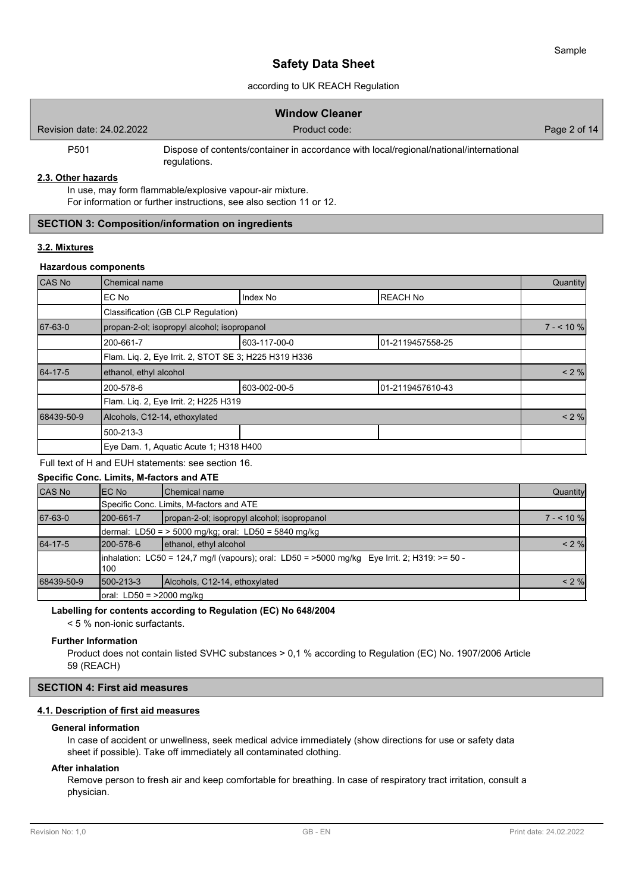# according to UK REACH Regulation

|                           | <b>Window Cleaner</b>                                                                                  |              |
|---------------------------|--------------------------------------------------------------------------------------------------------|--------------|
| Revision date: 24,02,2022 | Product code:                                                                                          | Page 2 of 14 |
| P <sub>501</sub>          | Dispose of contents/container in accordance with local/regional/national/international<br>regulations. |              |

#### **2.3. Other hazards**

In use, may form flammable/explosive vapour-air mixture. For information or further instructions, see also section 11 or 12.

# **SECTION 3: Composition/information on ingredients**

# **3.2. Mixtures**

#### **Hazardous components**

| CAS No     | Chemical name                                                                                          |              |                  |            |  |
|------------|--------------------------------------------------------------------------------------------------------|--------------|------------------|------------|--|
|            | EC No                                                                                                  | Index No     | <b>REACH No</b>  |            |  |
|            | Classification (GB CLP Regulation)                                                                     |              |                  |            |  |
| 67-63-0    | propan-2-ol; isopropyl alcohol; isopropanol                                                            |              |                  | $7 - 10\%$ |  |
|            | 603-117-00-0<br>01-2119457558-25<br>200-661-7<br>Flam. Liq. 2, Eye Irrit. 2, STOT SE 3; H225 H319 H336 |              |                  |            |  |
|            |                                                                                                        |              |                  |            |  |
| 64-17-5    | ethanol, ethyl alcohol                                                                                 |              |                  |            |  |
|            | 200-578-6                                                                                              | 603-002-00-5 | 01-2119457610-43 |            |  |
|            | Flam. Liq. 2, Eye Irrit. 2; H225 H319                                                                  |              |                  |            |  |
| 68439-50-9 | Alcohols, C12-14, ethoxylated                                                                          |              |                  |            |  |
|            | 500-213-3                                                                                              |              |                  |            |  |
|            | Eye Dam. 1, Aquatic Acute 1; H318 H400                                                                 |              |                  |            |  |

# Full text of H and EUH statements: see section 16.

# **Specific Conc. Limits, M-factors and ATE**

| CAS No     | IEC No     | <b>I</b> Chemical name                                                                        | Quantity   |
|------------|------------|-----------------------------------------------------------------------------------------------|------------|
|            |            | Specific Conc. Limits, M-factors and ATE                                                      |            |
| 67-63-0    | l200-661-7 | propan-2-ol; isopropyl alcohol; isopropanol                                                   | $7 - 10\%$ |
|            |            | dermal: LD50 = $>$ 5000 mg/kg; oral: LD50 = 5840 mg/kg                                        |            |
| 64-17-5    | l200-578-6 | ethanol, ethyl alcohol                                                                        | $< 2 \%$   |
|            | 100        | inhalation: LC50 = 124,7 mg/l (vapours); oral: LD50 = >5000 mg/kg Eye Irrit. 2; H319: >= 50 - |            |
| 68439-50-9 | 1500-213-3 | Alcohols, C12-14, ethoxylated                                                                 | < 2 %      |
|            |            |                                                                                               |            |

#### **Labelling for contents according to Regulation (EC) No 648/2004**

< 5 % non-ionic surfactants.

#### **Further Information**

Product does not contain listed SVHC substances > 0,1 % according to Regulation (EC) No. 1907/2006 Article 59 (REACH)

#### **SECTION 4: First aid measures**

### **4.1. Description of first aid measures**

#### **General information**

In case of accident or unwellness, seek medical advice immediately (show directions for use or safety data sheet if possible). Take off immediately all contaminated clothing.

### **After inhalation**

Remove person to fresh air and keep comfortable for breathing. In case of respiratory tract irritation, consult a physician.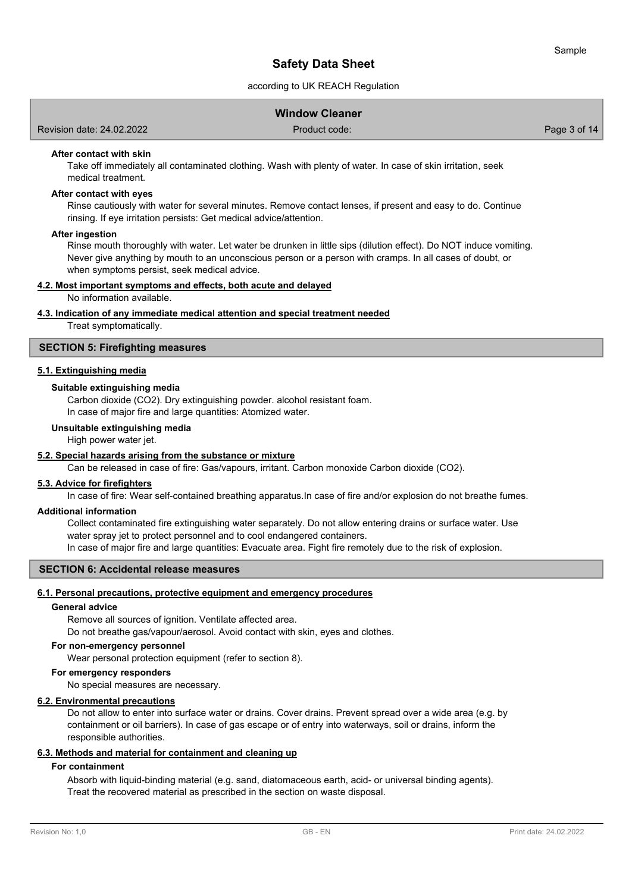# according to UK REACH Regulation

| Revision date: 24.02.2022 | Product code: | Page 3 of 14 |
|---------------------------|---------------|--------------|
|                           |               |              |

**Window Cleaner**

#### **After contact with skin**

Take off immediately all contaminated clothing. Wash with plenty of water. In case of skin irritation, seek medical treatment.

#### **After contact with eyes**

Rinse cautiously with water for several minutes. Remove contact lenses, if present and easy to do. Continue rinsing. If eye irritation persists: Get medical advice/attention.

#### **After ingestion**

Rinse mouth thoroughly with water. Let water be drunken in little sips (dilution effect). Do NOT induce vomiting. Never give anything by mouth to an unconscious person or a person with cramps. In all cases of doubt, or when symptoms persist, seek medical advice.

#### **4.2. Most important symptoms and effects, both acute and delayed**

No information available.

#### **4.3. Indication of any immediate medical attention and special treatment needed**

Treat symptomatically.

# **SECTION 5: Firefighting measures**

# **5.1. Extinguishing media**

#### **Suitable extinguishing media**

Carbon dioxide (CO2). Dry extinguishing powder. alcohol resistant foam.

In case of major fire and large quantities: Atomized water.

#### **Unsuitable extinguishing media**

High power water jet.

#### **5.2. Special hazards arising from the substance or mixture**

Can be released in case of fire: Gas/vapours, irritant. Carbon monoxide Carbon dioxide (CO2).

# **5.3. Advice for firefighters**

In case of fire: Wear self-contained breathing apparatus.In case of fire and/or explosion do not breathe fumes.

#### **Additional information**

Collect contaminated fire extinguishing water separately. Do not allow entering drains or surface water. Use water spray jet to protect personnel and to cool endangered containers.

In case of major fire and large quantities: Evacuate area. Fight fire remotely due to the risk of explosion.

# **SECTION 6: Accidental release measures**

#### **6.1. Personal precautions, protective equipment and emergency procedures**

#### **General advice**

Remove all sources of ignition. Ventilate affected area.

Do not breathe gas/vapour/aerosol. Avoid contact with skin, eyes and clothes.

#### **For non-emergency personnel**

Wear personal protection equipment (refer to section 8).

#### **For emergency responders**

No special measures are necessary.

#### **6.2. Environmental precautions**

Do not allow to enter into surface water or drains. Cover drains. Prevent spread over a wide area (e.g. by containment or oil barriers). In case of gas escape or of entry into waterways, soil or drains, inform the responsible authorities.

## **6.3. Methods and material for containment and cleaning up**

#### **For containment**

Absorb with liquid-binding material (e.g. sand, diatomaceous earth, acid- or universal binding agents). Treat the recovered material as prescribed in the section on waste disposal.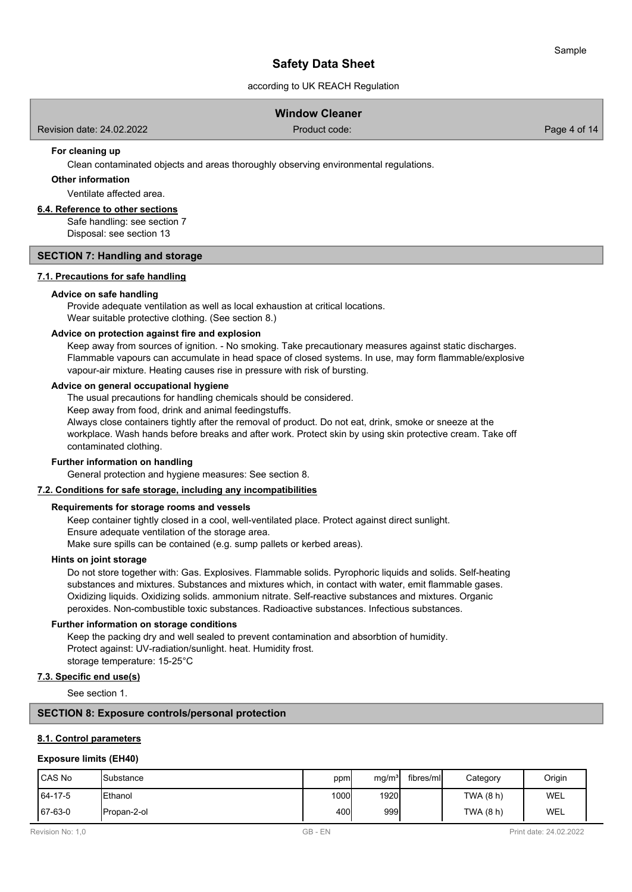# according to UK REACH Regulation

|  |  | <b>Window Cleaner</b> |  |  |
|--|--|-----------------------|--|--|
|  |  |                       |  |  |

Revision date: 24.02.2022 Product code: Page 4 of 14

### **For cleaning up**

Clean contaminated objects and areas thoroughly observing environmental regulations.

### **Other information**

Ventilate affected area.

# **6.4. Reference to other sections**

Safe handling: see section 7 Disposal: see section 13

#### **SECTION 7: Handling and storage**

#### **7.1. Precautions for safe handling**

#### **Advice on safe handling**

Provide adequate ventilation as well as local exhaustion at critical locations. Wear suitable protective clothing. (See section 8.)

#### **Advice on protection against fire and explosion**

Keep away from sources of ignition. - No smoking. Take precautionary measures against static discharges. Flammable vapours can accumulate in head space of closed systems. In use, may form flammable/explosive vapour-air mixture. Heating causes rise in pressure with risk of bursting.

#### **Advice on general occupational hygiene**

The usual precautions for handling chemicals should be considered.

Keep away from food, drink and animal feedingstuffs.

Always close containers tightly after the removal of product. Do not eat, drink, smoke or sneeze at the workplace. Wash hands before breaks and after work. Protect skin by using skin protective cream. Take off contaminated clothing.

#### **Further information on handling**

General protection and hygiene measures: See section 8.

#### **7.2. Conditions for safe storage, including any incompatibilities**

#### **Requirements for storage rooms and vessels**

Keep container tightly closed in a cool, well-ventilated place. Protect against direct sunlight. Ensure adequate ventilation of the storage area.

Make sure spills can be contained (e.g. sump pallets or kerbed areas).

#### **Hints on joint storage**

Do not store together with: Gas. Explosives. Flammable solids. Pyrophoric liquids and solids. Self-heating substances and mixtures. Substances and mixtures which, in contact with water, emit flammable gases. Oxidizing liquids. Oxidizing solids. ammonium nitrate. Self-reactive substances and mixtures. Organic peroxides. Non-combustible toxic substances. Radioactive substances. Infectious substances.

#### **Further information on storage conditions**

Keep the packing dry and well sealed to prevent contamination and absorbtion of humidity. Protect against: UV-radiation/sunlight. heat. Humidity frost. storage temperature: 15-25°C

# **7.3. Specific end use(s)**

See section 1.

### **SECTION 8: Exposure controls/personal protection**

#### **8.1. Control parameters**

#### **Exposure limits (EH40)**

| l CAS No | <b>I</b> Substance | ppm  | mg/m <sup>3</sup> | fibres/ml | Category    | Origin     |
|----------|--------------------|------|-------------------|-----------|-------------|------------|
| 64-17-5  | <b>Ethanol</b>     | 1000 | 1920l             |           | TWA $(8 h)$ | WEL        |
| 67-63-0  | IPropan-2-ol       | 400l | 999l              |           | TWA (8 h)   | <b>WEL</b> |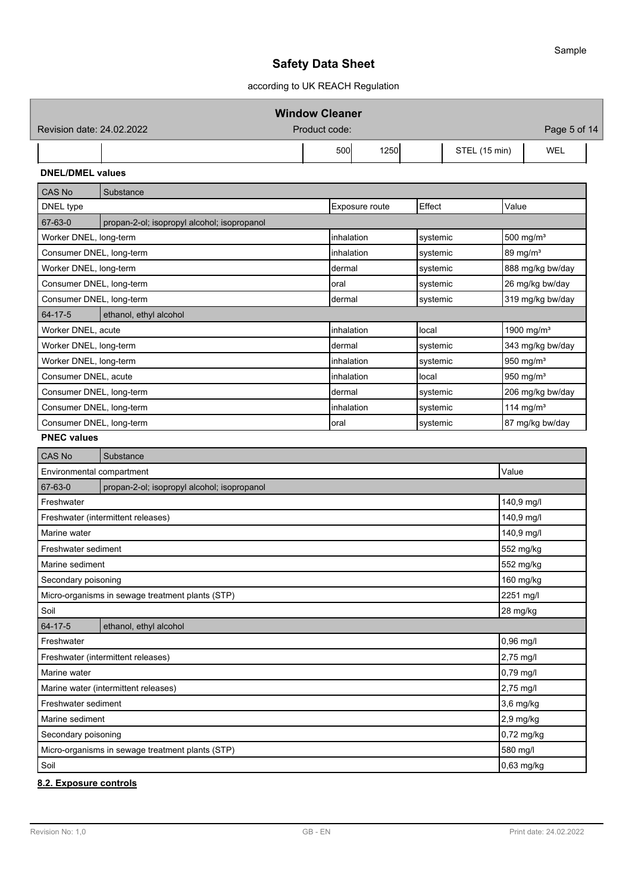according to UK REACH Regulation

| Product code:<br>Revision date: 24,02,2022<br>500<br>1250<br>STEL (15 min)<br><b>WEL</b><br><b>DNEL/DMEL values</b><br>Substance<br>Effect<br>Value<br>Exposure route<br>propan-2-ol; isopropyl alcohol; isopropanol<br>Worker DNEL, long-term<br>inhalation<br>500 mg/m <sup>3</sup><br>systemic<br>89 mg/m <sup>3</sup><br>Consumer DNEL, long-term<br>inhalation<br>systemic<br>Worker DNEL, long-term<br>888 mg/kg bw/day<br>dermal<br>systemic<br>26 mg/kg bw/day<br>Consumer DNEL, long-term<br>oral<br>systemic<br>319 mg/kg bw/day<br>Consumer DNEL, long-term<br>dermal<br>systemic<br>ethanol, ethyl alcohol<br>1900 mg/m <sup>3</sup><br>Worker DNEL, acute<br>inhalation<br>local<br>343 mg/kg bw/day<br>Worker DNEL, long-term<br>dermal<br>systemic<br>Worker DNEL, long-term<br>950 mg/m <sup>3</sup><br>inhalation<br>systemic<br>950 mg/m <sup>3</sup><br>Consumer DNEL, acute<br>inhalation<br>local<br>206 mg/kg bw/day<br>Consumer DNEL, long-term<br>dermal<br>systemic<br>114 mg/m $3$<br>Consumer DNEL, long-term<br>inhalation<br>systemic<br>87 mg/kg bw/day<br>Consumer DNEL, long-term<br>systemic<br>oral<br>Substance<br>Value<br>Environmental compartment<br>propan-2-ol; isopropyl alcohol; isopropanol<br>140,9 mg/l<br>140,9 mg/l<br>Freshwater (intermittent releases)<br>140,9 mg/l<br>552 mg/kg<br>Freshwater sediment<br>Marine sediment<br>552 mg/kg<br>160 mg/kg<br>Secondary poisoning<br>2251 mg/l<br>Micro-organisms in sewage treatment plants (STP)<br>28 mg/kg<br>ethanol, ethyl alcohol<br>0,96 mg/l<br>2,75 mg/l<br>Freshwater (intermittent releases)<br>0,79 mg/l<br>2,75 mg/l<br>3,6 mg/kg<br>2,9 mg/kg<br>0,72 mg/kg<br>580 mg/l<br>Micro-organisms in sewage treatment plants (STP)<br>0,63 mg/kg |                                      |  | <b>Window Cleaner</b> |  |  |              |  |
|--------------------------------------------------------------------------------------------------------------------------------------------------------------------------------------------------------------------------------------------------------------------------------------------------------------------------------------------------------------------------------------------------------------------------------------------------------------------------------------------------------------------------------------------------------------------------------------------------------------------------------------------------------------------------------------------------------------------------------------------------------------------------------------------------------------------------------------------------------------------------------------------------------------------------------------------------------------------------------------------------------------------------------------------------------------------------------------------------------------------------------------------------------------------------------------------------------------------------------------------------------------------------------------------------------------------------------------------------------------------------------------------------------------------------------------------------------------------------------------------------------------------------------------------------------------------------------------------------------------------------------------------------------------------------------------------------------------------------------------------------------|--------------------------------------|--|-----------------------|--|--|--------------|--|
|                                                                                                                                                                                                                                                                                                                                                                                                                                                                                                                                                                                                                                                                                                                                                                                                                                                                                                                                                                                                                                                                                                                                                                                                                                                                                                                                                                                                                                                                                                                                                                                                                                                                                                                                                        |                                      |  |                       |  |  | Page 5 of 14 |  |
|                                                                                                                                                                                                                                                                                                                                                                                                                                                                                                                                                                                                                                                                                                                                                                                                                                                                                                                                                                                                                                                                                                                                                                                                                                                                                                                                                                                                                                                                                                                                                                                                                                                                                                                                                        |                                      |  |                       |  |  |              |  |
|                                                                                                                                                                                                                                                                                                                                                                                                                                                                                                                                                                                                                                                                                                                                                                                                                                                                                                                                                                                                                                                                                                                                                                                                                                                                                                                                                                                                                                                                                                                                                                                                                                                                                                                                                        |                                      |  |                       |  |  |              |  |
|                                                                                                                                                                                                                                                                                                                                                                                                                                                                                                                                                                                                                                                                                                                                                                                                                                                                                                                                                                                                                                                                                                                                                                                                                                                                                                                                                                                                                                                                                                                                                                                                                                                                                                                                                        | <b>CAS No</b>                        |  |                       |  |  |              |  |
|                                                                                                                                                                                                                                                                                                                                                                                                                                                                                                                                                                                                                                                                                                                                                                                                                                                                                                                                                                                                                                                                                                                                                                                                                                                                                                                                                                                                                                                                                                                                                                                                                                                                                                                                                        | DNEL type                            |  |                       |  |  |              |  |
|                                                                                                                                                                                                                                                                                                                                                                                                                                                                                                                                                                                                                                                                                                                                                                                                                                                                                                                                                                                                                                                                                                                                                                                                                                                                                                                                                                                                                                                                                                                                                                                                                                                                                                                                                        | 67-63-0                              |  |                       |  |  |              |  |
|                                                                                                                                                                                                                                                                                                                                                                                                                                                                                                                                                                                                                                                                                                                                                                                                                                                                                                                                                                                                                                                                                                                                                                                                                                                                                                                                                                                                                                                                                                                                                                                                                                                                                                                                                        |                                      |  |                       |  |  |              |  |
|                                                                                                                                                                                                                                                                                                                                                                                                                                                                                                                                                                                                                                                                                                                                                                                                                                                                                                                                                                                                                                                                                                                                                                                                                                                                                                                                                                                                                                                                                                                                                                                                                                                                                                                                                        |                                      |  |                       |  |  |              |  |
|                                                                                                                                                                                                                                                                                                                                                                                                                                                                                                                                                                                                                                                                                                                                                                                                                                                                                                                                                                                                                                                                                                                                                                                                                                                                                                                                                                                                                                                                                                                                                                                                                                                                                                                                                        |                                      |  |                       |  |  |              |  |
|                                                                                                                                                                                                                                                                                                                                                                                                                                                                                                                                                                                                                                                                                                                                                                                                                                                                                                                                                                                                                                                                                                                                                                                                                                                                                                                                                                                                                                                                                                                                                                                                                                                                                                                                                        |                                      |  |                       |  |  |              |  |
|                                                                                                                                                                                                                                                                                                                                                                                                                                                                                                                                                                                                                                                                                                                                                                                                                                                                                                                                                                                                                                                                                                                                                                                                                                                                                                                                                                                                                                                                                                                                                                                                                                                                                                                                                        |                                      |  |                       |  |  |              |  |
|                                                                                                                                                                                                                                                                                                                                                                                                                                                                                                                                                                                                                                                                                                                                                                                                                                                                                                                                                                                                                                                                                                                                                                                                                                                                                                                                                                                                                                                                                                                                                                                                                                                                                                                                                        | 64-17-5                              |  |                       |  |  |              |  |
|                                                                                                                                                                                                                                                                                                                                                                                                                                                                                                                                                                                                                                                                                                                                                                                                                                                                                                                                                                                                                                                                                                                                                                                                                                                                                                                                                                                                                                                                                                                                                                                                                                                                                                                                                        |                                      |  |                       |  |  |              |  |
|                                                                                                                                                                                                                                                                                                                                                                                                                                                                                                                                                                                                                                                                                                                                                                                                                                                                                                                                                                                                                                                                                                                                                                                                                                                                                                                                                                                                                                                                                                                                                                                                                                                                                                                                                        |                                      |  |                       |  |  |              |  |
|                                                                                                                                                                                                                                                                                                                                                                                                                                                                                                                                                                                                                                                                                                                                                                                                                                                                                                                                                                                                                                                                                                                                                                                                                                                                                                                                                                                                                                                                                                                                                                                                                                                                                                                                                        |                                      |  |                       |  |  |              |  |
|                                                                                                                                                                                                                                                                                                                                                                                                                                                                                                                                                                                                                                                                                                                                                                                                                                                                                                                                                                                                                                                                                                                                                                                                                                                                                                                                                                                                                                                                                                                                                                                                                                                                                                                                                        |                                      |  |                       |  |  |              |  |
|                                                                                                                                                                                                                                                                                                                                                                                                                                                                                                                                                                                                                                                                                                                                                                                                                                                                                                                                                                                                                                                                                                                                                                                                                                                                                                                                                                                                                                                                                                                                                                                                                                                                                                                                                        |                                      |  |                       |  |  |              |  |
|                                                                                                                                                                                                                                                                                                                                                                                                                                                                                                                                                                                                                                                                                                                                                                                                                                                                                                                                                                                                                                                                                                                                                                                                                                                                                                                                                                                                                                                                                                                                                                                                                                                                                                                                                        |                                      |  |                       |  |  |              |  |
|                                                                                                                                                                                                                                                                                                                                                                                                                                                                                                                                                                                                                                                                                                                                                                                                                                                                                                                                                                                                                                                                                                                                                                                                                                                                                                                                                                                                                                                                                                                                                                                                                                                                                                                                                        |                                      |  |                       |  |  |              |  |
|                                                                                                                                                                                                                                                                                                                                                                                                                                                                                                                                                                                                                                                                                                                                                                                                                                                                                                                                                                                                                                                                                                                                                                                                                                                                                                                                                                                                                                                                                                                                                                                                                                                                                                                                                        | <b>PNEC values</b>                   |  |                       |  |  |              |  |
|                                                                                                                                                                                                                                                                                                                                                                                                                                                                                                                                                                                                                                                                                                                                                                                                                                                                                                                                                                                                                                                                                                                                                                                                                                                                                                                                                                                                                                                                                                                                                                                                                                                                                                                                                        | <b>CAS No</b>                        |  |                       |  |  |              |  |
|                                                                                                                                                                                                                                                                                                                                                                                                                                                                                                                                                                                                                                                                                                                                                                                                                                                                                                                                                                                                                                                                                                                                                                                                                                                                                                                                                                                                                                                                                                                                                                                                                                                                                                                                                        |                                      |  |                       |  |  |              |  |
|                                                                                                                                                                                                                                                                                                                                                                                                                                                                                                                                                                                                                                                                                                                                                                                                                                                                                                                                                                                                                                                                                                                                                                                                                                                                                                                                                                                                                                                                                                                                                                                                                                                                                                                                                        | 67-63-0                              |  |                       |  |  |              |  |
|                                                                                                                                                                                                                                                                                                                                                                                                                                                                                                                                                                                                                                                                                                                                                                                                                                                                                                                                                                                                                                                                                                                                                                                                                                                                                                                                                                                                                                                                                                                                                                                                                                                                                                                                                        | Freshwater                           |  |                       |  |  |              |  |
|                                                                                                                                                                                                                                                                                                                                                                                                                                                                                                                                                                                                                                                                                                                                                                                                                                                                                                                                                                                                                                                                                                                                                                                                                                                                                                                                                                                                                                                                                                                                                                                                                                                                                                                                                        |                                      |  |                       |  |  |              |  |
|                                                                                                                                                                                                                                                                                                                                                                                                                                                                                                                                                                                                                                                                                                                                                                                                                                                                                                                                                                                                                                                                                                                                                                                                                                                                                                                                                                                                                                                                                                                                                                                                                                                                                                                                                        | Marine water                         |  |                       |  |  |              |  |
|                                                                                                                                                                                                                                                                                                                                                                                                                                                                                                                                                                                                                                                                                                                                                                                                                                                                                                                                                                                                                                                                                                                                                                                                                                                                                                                                                                                                                                                                                                                                                                                                                                                                                                                                                        |                                      |  |                       |  |  |              |  |
|                                                                                                                                                                                                                                                                                                                                                                                                                                                                                                                                                                                                                                                                                                                                                                                                                                                                                                                                                                                                                                                                                                                                                                                                                                                                                                                                                                                                                                                                                                                                                                                                                                                                                                                                                        |                                      |  |                       |  |  |              |  |
|                                                                                                                                                                                                                                                                                                                                                                                                                                                                                                                                                                                                                                                                                                                                                                                                                                                                                                                                                                                                                                                                                                                                                                                                                                                                                                                                                                                                                                                                                                                                                                                                                                                                                                                                                        |                                      |  |                       |  |  |              |  |
|                                                                                                                                                                                                                                                                                                                                                                                                                                                                                                                                                                                                                                                                                                                                                                                                                                                                                                                                                                                                                                                                                                                                                                                                                                                                                                                                                                                                                                                                                                                                                                                                                                                                                                                                                        |                                      |  |                       |  |  |              |  |
|                                                                                                                                                                                                                                                                                                                                                                                                                                                                                                                                                                                                                                                                                                                                                                                                                                                                                                                                                                                                                                                                                                                                                                                                                                                                                                                                                                                                                                                                                                                                                                                                                                                                                                                                                        | Soil                                 |  |                       |  |  |              |  |
|                                                                                                                                                                                                                                                                                                                                                                                                                                                                                                                                                                                                                                                                                                                                                                                                                                                                                                                                                                                                                                                                                                                                                                                                                                                                                                                                                                                                                                                                                                                                                                                                                                                                                                                                                        | 64-17-5                              |  |                       |  |  |              |  |
|                                                                                                                                                                                                                                                                                                                                                                                                                                                                                                                                                                                                                                                                                                                                                                                                                                                                                                                                                                                                                                                                                                                                                                                                                                                                                                                                                                                                                                                                                                                                                                                                                                                                                                                                                        | Freshwater                           |  |                       |  |  |              |  |
|                                                                                                                                                                                                                                                                                                                                                                                                                                                                                                                                                                                                                                                                                                                                                                                                                                                                                                                                                                                                                                                                                                                                                                                                                                                                                                                                                                                                                                                                                                                                                                                                                                                                                                                                                        |                                      |  |                       |  |  |              |  |
|                                                                                                                                                                                                                                                                                                                                                                                                                                                                                                                                                                                                                                                                                                                                                                                                                                                                                                                                                                                                                                                                                                                                                                                                                                                                                                                                                                                                                                                                                                                                                                                                                                                                                                                                                        | Marine water                         |  |                       |  |  |              |  |
|                                                                                                                                                                                                                                                                                                                                                                                                                                                                                                                                                                                                                                                                                                                                                                                                                                                                                                                                                                                                                                                                                                                                                                                                                                                                                                                                                                                                                                                                                                                                                                                                                                                                                                                                                        | Marine water (intermittent releases) |  |                       |  |  |              |  |
|                                                                                                                                                                                                                                                                                                                                                                                                                                                                                                                                                                                                                                                                                                                                                                                                                                                                                                                                                                                                                                                                                                                                                                                                                                                                                                                                                                                                                                                                                                                                                                                                                                                                                                                                                        | Freshwater sediment                  |  |                       |  |  |              |  |
|                                                                                                                                                                                                                                                                                                                                                                                                                                                                                                                                                                                                                                                                                                                                                                                                                                                                                                                                                                                                                                                                                                                                                                                                                                                                                                                                                                                                                                                                                                                                                                                                                                                                                                                                                        | Marine sediment                      |  |                       |  |  |              |  |
|                                                                                                                                                                                                                                                                                                                                                                                                                                                                                                                                                                                                                                                                                                                                                                                                                                                                                                                                                                                                                                                                                                                                                                                                                                                                                                                                                                                                                                                                                                                                                                                                                                                                                                                                                        | Secondary poisoning                  |  |                       |  |  |              |  |
|                                                                                                                                                                                                                                                                                                                                                                                                                                                                                                                                                                                                                                                                                                                                                                                                                                                                                                                                                                                                                                                                                                                                                                                                                                                                                                                                                                                                                                                                                                                                                                                                                                                                                                                                                        |                                      |  |                       |  |  |              |  |
|                                                                                                                                                                                                                                                                                                                                                                                                                                                                                                                                                                                                                                                                                                                                                                                                                                                                                                                                                                                                                                                                                                                                                                                                                                                                                                                                                                                                                                                                                                                                                                                                                                                                                                                                                        | Soil                                 |  |                       |  |  |              |  |

# **8.2. Exposure controls**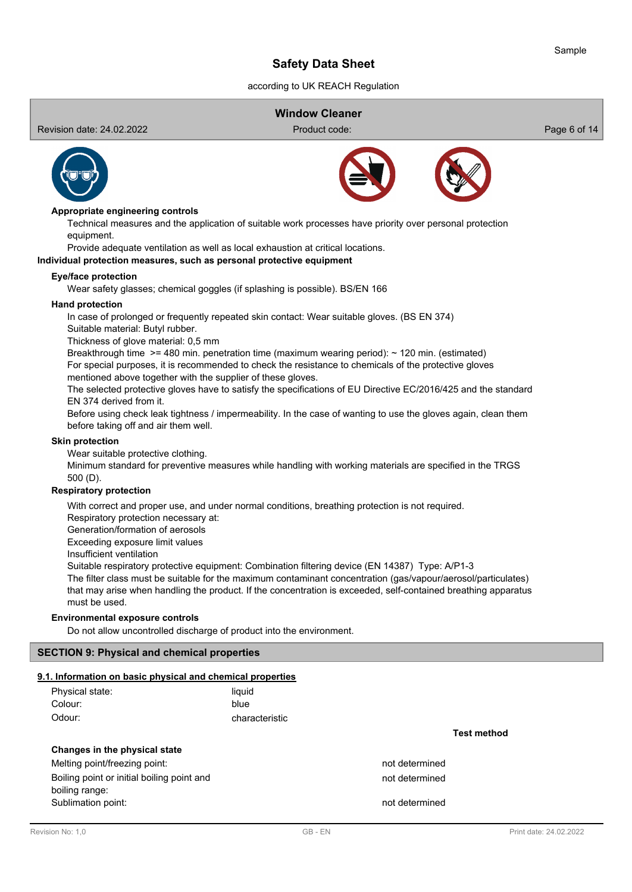according to UK REACH Regulation

# **Window Cleaner**

Revision date: 24.02.2022 Product code: Page 6 of 14



#### **Appropriate engineering controls**

Technical measures and the application of suitable work processes have priority over personal protection equipment.

Provide adequate ventilation as well as local exhaustion at critical locations.

#### **Individual protection measures, such as personal protective equipment**

#### **Eye/face protection**

Wear safety glasses; chemical goggles (if splashing is possible). BS/EN 166

#### **Hand protection**

In case of prolonged or frequently repeated skin contact: Wear suitable gloves. (BS EN 374) Suitable material: Butyl rubber.

Thickness of glove material: 0,5 mm

Breakthrough time >= 480 min. penetration time (maximum wearing period): ~ 120 min. (estimated) For special purposes, it is recommended to check the resistance to chemicals of the protective gloves

mentioned above together with the supplier of these gloves.

The selected protective gloves have to satisfy the specifications of EU Directive EC/2016/425 and the standard EN 374 derived from it.

Before using check leak tightness / impermeability. In the case of wanting to use the gloves again, clean them before taking off and air them well.

#### **Skin protection**

Wear suitable protective clothing.

Minimum standard for preventive measures while handling with working materials are specified in the TRGS 500 (D).

## **Respiratory protection**

With correct and proper use, and under normal conditions, breathing protection is not required.

Respiratory protection necessary at:

Generation/formation of aerosols

Exceeding exposure limit values

Insufficient ventilation

Suitable respiratory protective equipment: Combination filtering device (EN 14387) Type: A/P1-3

The filter class must be suitable for the maximum contaminant concentration (gas/vapour/aerosol/particulates) that may arise when handling the product. If the concentration is exceeded, self-contained breathing apparatus must be used.

#### **Environmental exposure controls**

Do not allow uncontrolled discharge of product into the environment.

## **SECTION 9: Physical and chemical properties**

#### **9.1. Information on basic physical and chemical properties**

| Physical state: | liauid         |
|-----------------|----------------|
| Colour:         | blue           |
| Odour:          | characteristic |

## **Changes in the physical state**

Melting point/freezing point: not determined Boiling point or initial boiling point and not determined boiling range: Sublimation point: not determined

**Test method**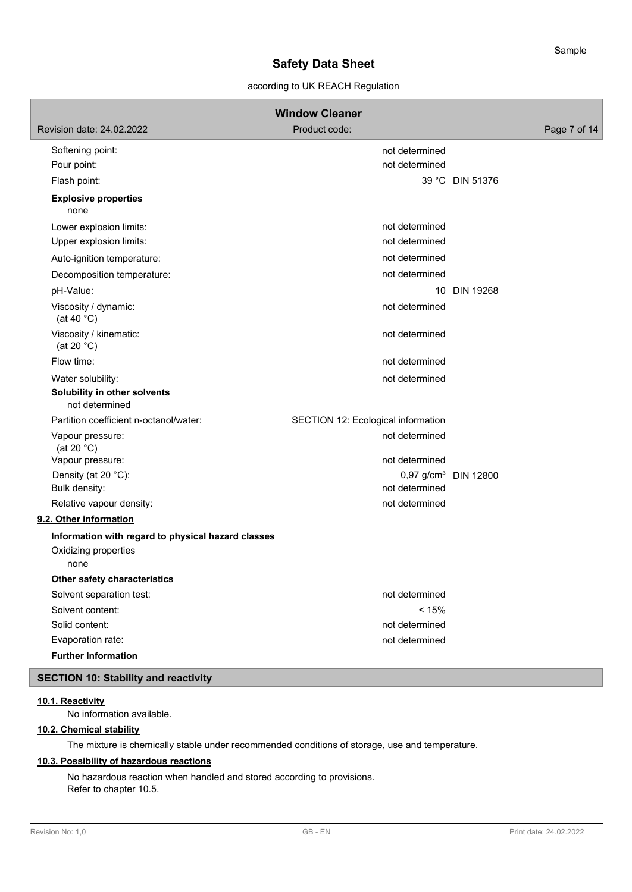# according to UK REACH Regulation

|                                                                     | <b>Window Cleaner</b>              |                                  |              |
|---------------------------------------------------------------------|------------------------------------|----------------------------------|--------------|
| Revision date: 24,02,2022                                           | Product code:                      |                                  | Page 7 of 14 |
| Softening point:                                                    | not determined                     |                                  |              |
| Pour point:                                                         | not determined                     |                                  |              |
| Flash point:                                                        |                                    | 39 °C DIN 51376                  |              |
| <b>Explosive properties</b><br>none                                 |                                    |                                  |              |
| Lower explosion limits:                                             | not determined                     |                                  |              |
| Upper explosion limits:                                             | not determined                     |                                  |              |
| Auto-ignition temperature:                                          | not determined                     |                                  |              |
| Decomposition temperature:                                          | not determined                     |                                  |              |
| pH-Value:                                                           |                                    | 10 DIN 19268                     |              |
| Viscosity / dynamic:<br>(at 40 $^{\circ}$ C)                        | not determined                     |                                  |              |
| Viscosity / kinematic:<br>(at 20 $°C$ )                             | not determined                     |                                  |              |
| Flow time:                                                          | not determined                     |                                  |              |
| Water solubility:<br>Solubility in other solvents<br>not determined | not determined                     |                                  |              |
| Partition coefficient n-octanol/water:                              | SECTION 12: Ecological information |                                  |              |
| Vapour pressure:<br>(at 20 $°C$ )                                   | not determined                     |                                  |              |
| Vapour pressure:                                                    | not determined                     |                                  |              |
| Density (at 20 °C):                                                 |                                    | 0,97 g/cm <sup>3</sup> DIN 12800 |              |
| Bulk density:                                                       | not determined                     |                                  |              |
| Relative vapour density:                                            | not determined                     |                                  |              |
| 9.2. Other information                                              |                                    |                                  |              |
| Information with regard to physical hazard classes                  |                                    |                                  |              |
| Oxidizing properties<br>none                                        |                                    |                                  |              |
| Other safety characteristics                                        |                                    |                                  |              |
| Solvent separation test:                                            | not determined                     |                                  |              |
| Solvent content:                                                    | < 15%                              |                                  |              |
| Solid content:                                                      | not determined                     |                                  |              |
| Evaporation rate:                                                   | not determined                     |                                  |              |
| <b>Further Information</b>                                          |                                    |                                  |              |
| <b>SECTION 10: Stability and reactivity</b>                         |                                    |                                  |              |

# **10.1. Reactivity**

No information available.

# **10.2. Chemical stability**

The mixture is chemically stable under recommended conditions of storage, use and temperature.

# **10.3. Possibility of hazardous reactions**

No hazardous reaction when handled and stored according to provisions. Refer to chapter 10.5.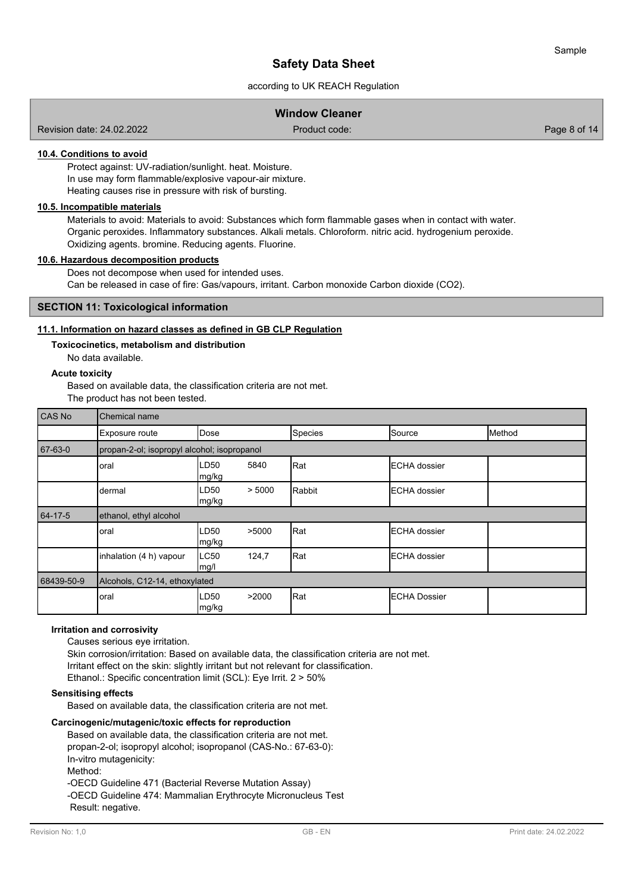# according to UK REACH Regulation

# **Window Cleaner**

Revision date: 24.02.2022 Product code: Page 8 of 14

# **10.4. Conditions to avoid**

Protect against: UV-radiation/sunlight. heat. Moisture. In use may form flammable/explosive vapour-air mixture. Heating causes rise in pressure with risk of bursting.

# **10.5. Incompatible materials**

Materials to avoid: Materials to avoid: Substances which form flammable gases when in contact with water. Organic peroxides. Inflammatory substances. Alkali metals. Chloroform. nitric acid. hydrogenium peroxide. Oxidizing agents. bromine. Reducing agents. Fluorine.

# **10.6. Hazardous decomposition products**

Does not decompose when used for intended uses. Can be released in case of fire: Gas/vapours, irritant. Carbon monoxide Carbon dioxide (CO2).

#### **SECTION 11: Toxicological information**

### **11.1. Information on hazard classes as defined in GB CLP Regulation**

#### **Toxicocinetics, metabolism and distribution**

No data available.

### **Acute toxicity**

Based on available data, the classification criteria are not met. The product has not been tested.

| <b>CAS No</b> | Chemical name                               |                |        |         |                      |        |
|---------------|---------------------------------------------|----------------|--------|---------|----------------------|--------|
|               | Exposure route                              | Dose           |        | Species | Source               | Method |
| 67-63-0       | propan-2-ol; isopropyl alcohol; isopropanol |                |        |         |                      |        |
|               | oral                                        | LD50<br> mg/kg | 5840   | Rat     | <b>IECHA</b> dossier |        |
|               | dermal                                      | LD50<br>mg/kg  | > 5000 | Rabbit  | <b>IECHA</b> dossier |        |
| 64-17-5       | ethanol, ethyl alcohol                      |                |        |         |                      |        |
|               | oral                                        | LD50<br>mg/kg  | >5000  | Rat     | <b>IECHA</b> dossier |        |
|               | inhalation (4 h) vapour                     | LC50<br>mg/l   | 124,7  | Rat     | <b>IECHA</b> dossier |        |
| 68439-50-9    | Alcohols, C12-14, ethoxylated               |                |        |         |                      |        |
|               | oral                                        | LD50<br>mg/kg  | >2000  | Rat     | <b>IECHA Dossier</b> |        |

#### **Irritation and corrosivity**

Causes serious eye irritation.

Skin corrosion/irritation: Based on available data, the classification criteria are not met. Irritant effect on the skin: slightly irritant but not relevant for classification. Ethanol.: Specific concentration limit (SCL): Eye Irrit. 2 > 50%

# **Sensitising effects**

Based on available data, the classification criteria are not met.

#### **Carcinogenic/mutagenic/toxic effects for reproduction**

Based on available data, the classification criteria are not met. propan-2-ol; isopropyl alcohol; isopropanol (CAS-No.: 67-63-0): In-vitro mutagenicity: Method: -OECD Guideline 471 (Bacterial Reverse Mutation Assay) -OECD Guideline 474: Mammalian Erythrocyte Micronucleus Test Result: negative.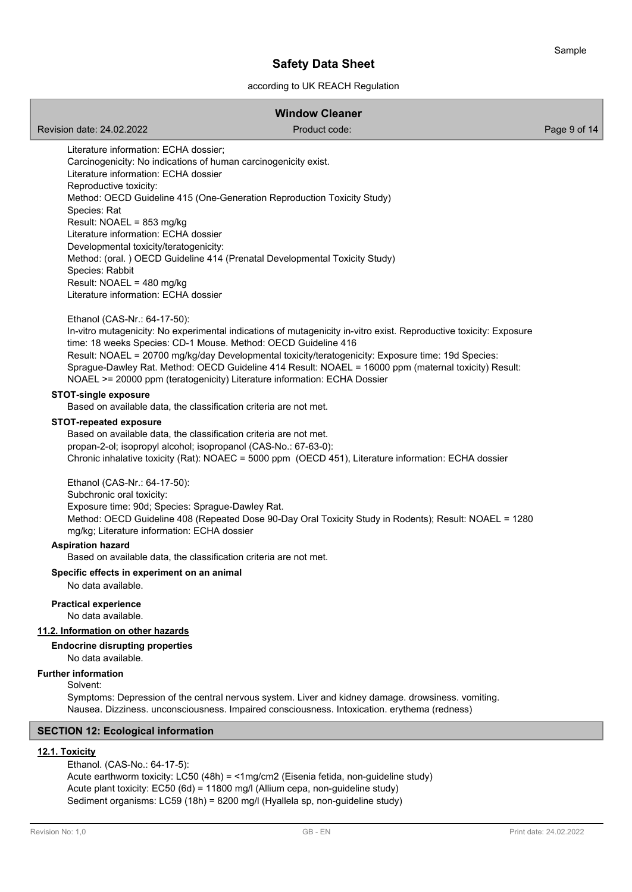# according to UK REACH Regulation

# **Window Cleaner**

Revision date: 24.02.2022 **Product code:** Product code: Product code: Page 9 of 14

Literature information: ECHA dossier; Carcinogenicity: No indications of human carcinogenicity exist. Literature information: ECHA dossier Reproductive toxicity: Method: OECD Guideline 415 (One-Generation Reproduction Toxicity Study) Species: Rat Result: NOAEL = 853 mg/kg Literature information: ECHA dossier Developmental toxicity/teratogenicity: Method: (oral. ) OECD Guideline 414 (Prenatal Developmental Toxicity Study) Species: Rabbit Result: NOAEL = 480 mg/kg Literature information: ECHA dossier

Ethanol (CAS-Nr.: 64-17-50):

In-vitro mutagenicity: No experimental indications of mutagenicity in-vitro exist. Reproductive toxicity: Exposure time: 18 weeks Species: CD-1 Mouse. Method: OECD Guideline 416 Result: NOAEL = 20700 mg/kg/day Developmental toxicity/teratogenicity: Exposure time: 19d Species: Sprague-Dawley Rat. Method: OECD Guideline 414 Result: NOAEL = 16000 ppm (maternal toxicity) Result: NOAEL >= 20000 ppm (teratogenicity) Literature information: ECHA Dossier

#### **STOT-single exposure**

Based on available data, the classification criteria are not met.

#### **STOT-repeated exposure**

Based on available data, the classification criteria are not met. propan-2-ol; isopropyl alcohol; isopropanol (CAS-No.: 67-63-0): Chronic inhalative toxicity (Rat): NOAEC = 5000 ppm (OECD 451), Literature information: ECHA dossier

Ethanol (CAS-Nr.: 64-17-50):

Subchronic oral toxicity: Exposure time: 90d; Species: Sprague-Dawley Rat. Method: OECD Guideline 408 (Repeated Dose 90-Day Oral Toxicity Study in Rodents); Result: NOAEL = 1280 mg/kg; Literature information: ECHA dossier

# **Aspiration hazard**

Based on available data, the classification criteria are not met.

**Specific effects in experiment on an animal**

No data available.

#### **Practical experience**

No data available.

# **11.2. Information on other hazards**

**Endocrine disrupting properties**

No data available.

# **Further information**

Solvent:

Symptoms: Depression of the central nervous system. Liver and kidney damage. drowsiness. vomiting. Nausea. Dizziness. unconsciousness. Impaired consciousness. Intoxication. erythema (redness)

## **SECTION 12: Ecological information**

## **12.1. Toxicity**

Ethanol. (CAS-No.: 64-17-5): Acute earthworm toxicity: LC50 (48h) = <1mg/cm2 (Eisenia fetida, non-guideline study) Acute plant toxicity: EC50 (6d) = 11800 mg/l (Allium cepa, non-guideline study) Sediment organisms: LC59 (18h) = 8200 mg/l (Hyallela sp, non-guideline study)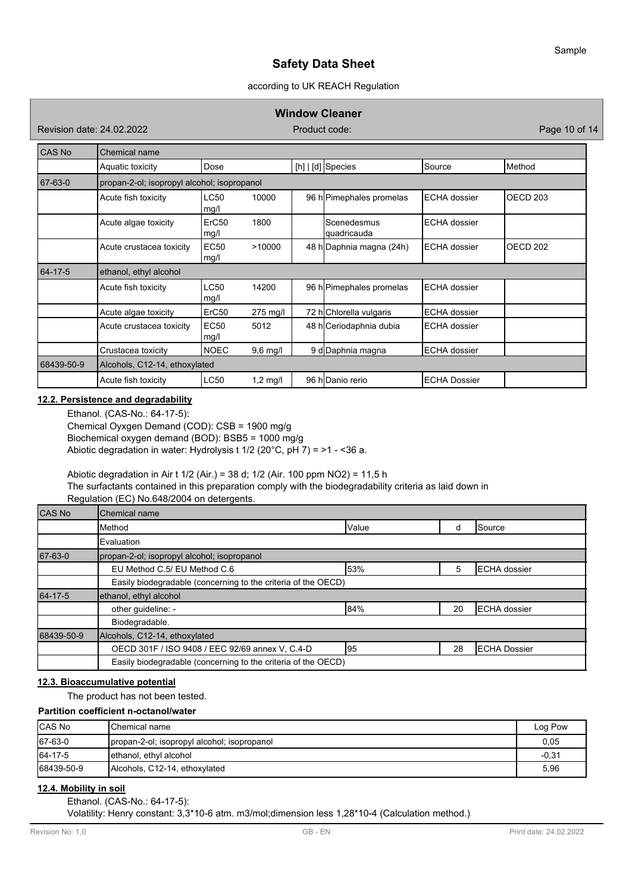# according to UK REACH Regulation

### **Window Cleaner**

Revision date: 24.02.2022 **Product code:** Product code: Product code: Page 10 of 14

| CAS No     | Chemical name                               |                           |            |                            |                     |                     |
|------------|---------------------------------------------|---------------------------|------------|----------------------------|---------------------|---------------------|
|            | Aquatic toxicity                            | Dose                      |            | [h]   [d] Species          | Source              | Method              |
| 67-63-0    | propan-2-ol; isopropyl alcohol; isopropanol |                           |            |                            |                     |                     |
|            | Acute fish toxicity                         | LC50<br>mg/l              | 10000      | 96 h Pimephales promelas   | <b>ECHA</b> dossier | OECD <sub>203</sub> |
|            | Acute algae toxicity                        | ErC <sub>50</sub><br>mg/l | 1800       | Scenedesmus<br>quadricauda | <b>ECHA</b> dossier |                     |
|            | Acute crustacea toxicity                    | EC50<br>mg/l              | >10000     | 48 h Daphnia magna (24h)   | ECHA dossier        | OECD <sub>202</sub> |
| 64-17-5    | ethanol, ethyl alcohol                      |                           |            |                            |                     |                     |
|            | Acute fish toxicity                         | <b>LC50</b><br>mg/l       | 14200      | 96 h Pimephales promelas   | ECHA dossier        |                     |
|            | Acute algae toxicity                        | ErC50                     | 275 mg/l   | 72 hChlorella vulgaris     | <b>ECHA</b> dossier |                     |
|            | Acute crustacea toxicity                    | EC <sub>50</sub><br>mg/l  | 5012       | 48 h Ceriodaphnia dubia    | <b>ECHA</b> dossier |                     |
|            | Crustacea toxicity                          | <b>NOEC</b>               | $9,6$ mg/l | 9 d Daphnia magna          | ECHA dossier        |                     |
| 68439-50-9 | Alcohols, C12-14, ethoxylated               |                           |            |                            |                     |                     |
|            | Acute fish toxicity                         | <b>LC50</b>               | $1,2$ mg/l | 96 hlDanio rerio           | <b>ECHA Dossier</b> |                     |

### **12.2. Persistence and degradability**

Ethanol. (CAS-No.: 64-17-5): Chemical Oyxgen Demand (COD): CSB = 1900 mg/g Biochemical oxygen demand (BOD): BSB5 = 1000 mg/g Abiotic degradation in water: Hydrolysis t 1/2 (20°C, pH 7) = >1 - <36 a.

Abiotic degradation in Air t 1/2 (Air.) = 38 d; 1/2 (Air. 100 ppm NO2) = 11,5 h The surfactants contained in this preparation comply with the biodegradability criteria as laid down in Regulation (EC) No.648/2004 on detergents.

| CAS No     | Chemical name                                                 |       |    |                     |
|------------|---------------------------------------------------------------|-------|----|---------------------|
|            | Method                                                        | Value | d  | <b>Source</b>       |
|            | Evaluation                                                    |       |    |                     |
| 67-63-0    | propan-2-ol; isopropyl alcohol; isopropanol                   |       |    |                     |
|            | EU Method C.5/ EU Method C.6                                  | 53%   | 5  | <b>ECHA</b> dossier |
|            | Easily biodegradable (concerning to the criteria of the OECD) |       |    |                     |
| 64-17-5    | ethanol, ethyl alcohol                                        |       |    |                     |
|            | other guideline: -                                            | 84%   | 20 | <b>ECHA</b> dossier |
|            | Biodegradable.                                                |       |    |                     |
| 68439-50-9 | Alcohols, C12-14, ethoxylated                                 |       |    |                     |
|            | OECD 301F / ISO 9408 / EEC 92/69 annex V, C.4-D               | 195   | 28 | <b>ECHA Dossier</b> |
|            | Easily biodegradable (concerning to the criteria of the OECD) |       |    |                     |

# **12.3. Bioaccumulative potential**

The product has not been tested.

### **Partition coefficient n-octanol/water**

| <b>CAS No</b> | IChemical name                              | Log Pow |
|---------------|---------------------------------------------|---------|
| 67-63-0       | propan-2-ol; isopropyl alcohol; isopropanol | 0,05    |
| 64-17-5       | ethanol, ethyl alcohol                      | $-0,31$ |
| 68439-50-9    | Alcohols, C12-14, ethoxylated               | 5,96    |

# **12.4. Mobility in soil**

Ethanol. (CAS-No.: 64-17-5):

Volatility: Henry constant: 3,3\*10-6 atm. m3/mol;dimension less 1,28\*10-4 (Calculation method.)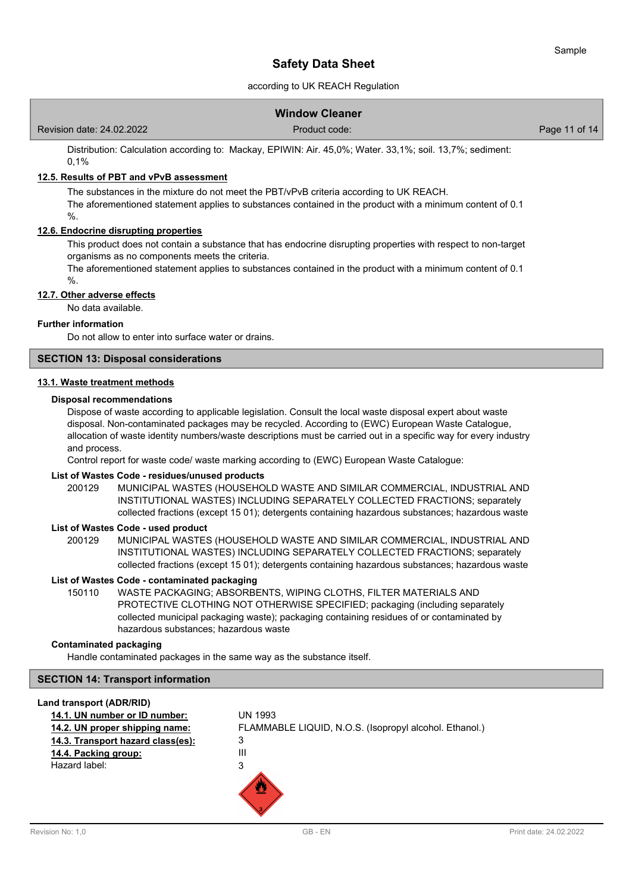# according to UK REACH Regulation

|                           | <b>Window Cleaner</b> |               |
|---------------------------|-----------------------|---------------|
| Revision date: 24.02.2022 | Product code:         | Page 11 of 14 |

Distribution: Calculation according to: Mackay, EPIWIN: Air. 45,0%; Water. 33,1%; soil. 13,7%; sediment: 0,1%

#### **12.5. Results of PBT and vPvB assessment**

The substances in the mixture do not meet the PBT/vPvB criteria according to UK REACH. The aforementioned statement applies to substances contained in the product with a minimum content of 0.1 %.

# **12.6. Endocrine disrupting properties**

This product does not contain a substance that has endocrine disrupting properties with respect to non-target organisms as no components meets the criteria.

The aforementioned statement applies to substances contained in the product with a minimum content of 0.1

 $\%$ .

#### **12.7. Other adverse effects**

No data available.

#### **Further information**

Do not allow to enter into surface water or drains.

# **SECTION 13: Disposal considerations**

#### **13.1. Waste treatment methods**

#### **Disposal recommendations**

Dispose of waste according to applicable legislation. Consult the local waste disposal expert about waste disposal. Non-contaminated packages may be recycled. According to (EWC) European Waste Catalogue, allocation of waste identity numbers/waste descriptions must be carried out in a specific way for every industry and process.

Control report for waste code/ waste marking according to (EWC) European Waste Catalogue:

# **List of Wastes Code - residues/unused products**

200129 MUNICIPAL WASTES (HOUSEHOLD WASTE AND SIMILAR COMMERCIAL, INDUSTRIAL AND INSTITUTIONAL WASTES) INCLUDING SEPARATELY COLLECTED FRACTIONS; separately collected fractions (except 15 01); detergents containing hazardous substances; hazardous waste

#### **List of Wastes Code - used product**

MUNICIPAL WASTES (HOUSEHOLD WASTE AND SIMILAR COMMERCIAL, INDUSTRIAL AND INSTITUTIONAL WASTES) INCLUDING SEPARATELY COLLECTED FRACTIONS; separately collected fractions (except 15 01); detergents containing hazardous substances; hazardous waste 200129

#### **List of Wastes Code - contaminated packaging**

WASTE PACKAGING; ABSORBENTS, WIPING CLOTHS, FILTER MATERIALS AND PROTECTIVE CLOTHING NOT OTHERWISE SPECIFIED; packaging (including separately collected municipal packaging waste); packaging containing residues of or contaminated by hazardous substances; hazardous waste 150110

### **Contaminated packaging**

Handle contaminated packages in the same way as the substance itself.

# **SECTION 14: Transport information**

| Land transport (ADR/RID)          |                                                        |
|-----------------------------------|--------------------------------------------------------|
| 14.1. UN number or ID number:     | UN 1993                                                |
| 14.2. UN proper shipping name:    | FLAMMABLE LIQUID, N.O.S. (Isopropyl alcohol. Ethanol.) |
| 14.3. Transport hazard class(es): | 3                                                      |
| 14.4. Packing group:              | Ш                                                      |
| Hazard label:                     | 3                                                      |
|                                   |                                                        |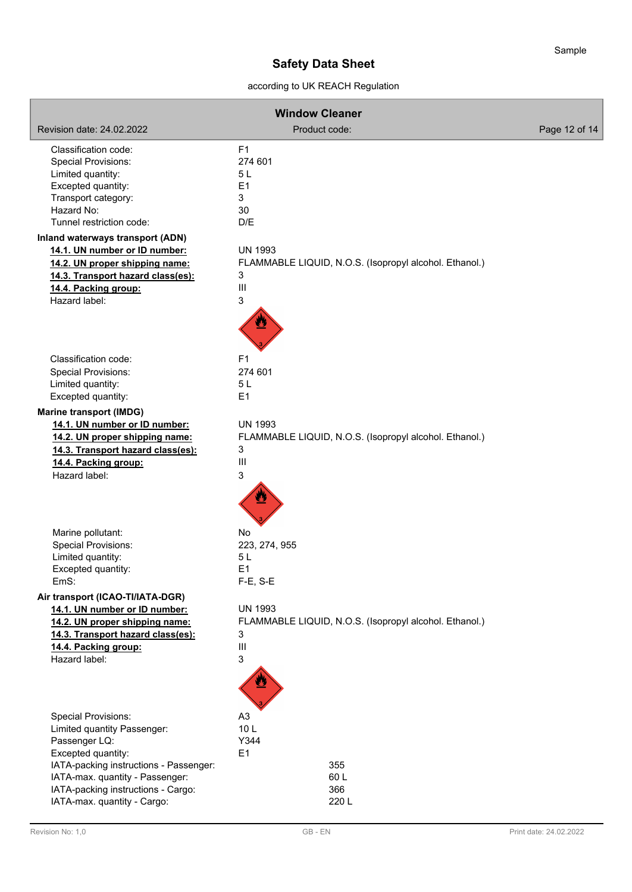according to UK REACH Regulation

| <b>Window Cleaner</b>                                             |                 |                                                        |               |
|-------------------------------------------------------------------|-----------------|--------------------------------------------------------|---------------|
| Revision date: 24.02.2022                                         | Product code:   |                                                        | Page 12 of 14 |
| Classification code:                                              | F <sub>1</sub>  |                                                        |               |
| <b>Special Provisions:</b>                                        | 274 601         |                                                        |               |
| Limited quantity:                                                 | 5L              |                                                        |               |
| Excepted quantity:                                                | E1              |                                                        |               |
| Transport category:<br>Hazard No:                                 | 3<br>30         |                                                        |               |
| Tunnel restriction code:                                          | D/E             |                                                        |               |
| Inland waterways transport (ADN)                                  |                 |                                                        |               |
| 14.1. UN number or ID number:                                     | <b>UN 1993</b>  |                                                        |               |
| 14.2. UN proper shipping name:                                    |                 | FLAMMABLE LIQUID, N.O.S. (Isopropyl alcohol. Ethanol.) |               |
| 14.3. Transport hazard class(es):                                 | 3               |                                                        |               |
| 14.4. Packing group:                                              | III             |                                                        |               |
| Hazard label:                                                     | 3               |                                                        |               |
|                                                                   |                 |                                                        |               |
| Classification code:                                              | F <sub>1</sub>  |                                                        |               |
| <b>Special Provisions:</b>                                        | 274 601         |                                                        |               |
| Limited quantity:                                                 | 5L              |                                                        |               |
| Excepted quantity:                                                | E1              |                                                        |               |
| <b>Marine transport (IMDG)</b>                                    |                 |                                                        |               |
| 14.1. UN number or ID number:                                     | <b>UN 1993</b>  |                                                        |               |
| 14.2. UN proper shipping name:                                    |                 | FLAMMABLE LIQUID, N.O.S. (Isopropyl alcohol. Ethanol.) |               |
| 14.3. Transport hazard class(es):                                 | 3               |                                                        |               |
| 14.4. Packing group:                                              | Ш               |                                                        |               |
| Hazard label:                                                     | 3               |                                                        |               |
|                                                                   |                 |                                                        |               |
| Marine pollutant:                                                 | No              |                                                        |               |
| <b>Special Provisions:</b>                                        | 223, 274, 955   |                                                        |               |
| Limited quantity:                                                 | 5L              |                                                        |               |
| Excepted quantity:                                                | E1              |                                                        |               |
| EmS:                                                              | F-E, S-E        |                                                        |               |
| Air transport (ICAO-TI/IATA-DGR)                                  |                 |                                                        |               |
| 14.1. UN number or ID number:<br>14.2. UN proper shipping name:   | <b>UN 1993</b>  |                                                        |               |
| 14.3. Transport hazard class(es):                                 | 3               | FLAMMABLE LIQUID, N.O.S. (Isopropyl alcohol. Ethanol.) |               |
| 14.4. Packing group:                                              | Ш               |                                                        |               |
| Hazard label:                                                     | 3               |                                                        |               |
|                                                                   |                 |                                                        |               |
| Special Provisions:                                               | A <sub>3</sub>  |                                                        |               |
| Limited quantity Passenger:                                       | 10 <sub>L</sub> |                                                        |               |
| Passenger LQ:                                                     | Y344            |                                                        |               |
| Excepted quantity:                                                | E1              |                                                        |               |
| IATA-packing instructions - Passenger:                            | 355             |                                                        |               |
| IATA-max. quantity - Passenger:                                   | 60L             |                                                        |               |
| IATA-packing instructions - Cargo:<br>IATA-max. quantity - Cargo: | 366<br>220L     |                                                        |               |
|                                                                   |                 |                                                        |               |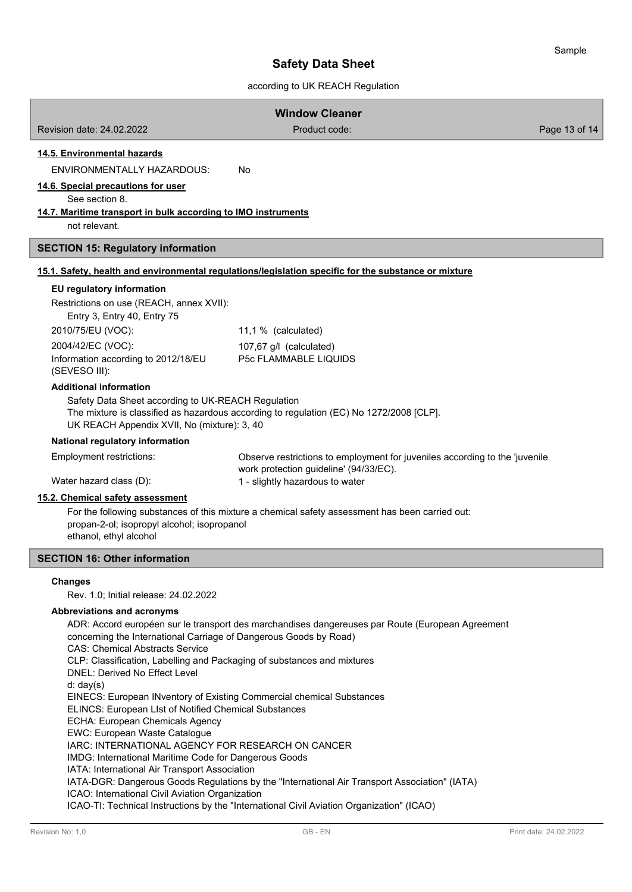# according to UK REACH Regulation

|                                                                                                                                                                                                                                                                                                                                                                                                                                                | <b>Window Cleaner</b>                                                                                                 |               |
|------------------------------------------------------------------------------------------------------------------------------------------------------------------------------------------------------------------------------------------------------------------------------------------------------------------------------------------------------------------------------------------------------------------------------------------------|-----------------------------------------------------------------------------------------------------------------------|---------------|
| Revision date: 24.02.2022                                                                                                                                                                                                                                                                                                                                                                                                                      | Product code:                                                                                                         | Page 13 of 14 |
| 14.5. Environmental hazards<br><b>ENVIRONMENTALLY HAZARDOUS:</b><br>14.6. Special precautions for user<br>See section 8.                                                                                                                                                                                                                                                                                                                       | No                                                                                                                    |               |
| 14.7. Maritime transport in bulk according to IMO instruments                                                                                                                                                                                                                                                                                                                                                                                  |                                                                                                                       |               |
| not relevant.                                                                                                                                                                                                                                                                                                                                                                                                                                  |                                                                                                                       |               |
| <b>SECTION 15: Regulatory information</b>                                                                                                                                                                                                                                                                                                                                                                                                      |                                                                                                                       |               |
|                                                                                                                                                                                                                                                                                                                                                                                                                                                | 15.1. Safety, health and environmental regulations/legislation specific for the substance or mixture                  |               |
| EU regulatory information<br>Restrictions on use (REACH, annex XVII):<br>Entry 3, Entry 40, Entry 75<br>2010/75/EU (VOC):                                                                                                                                                                                                                                                                                                                      | 11,1 % (calculated)                                                                                                   |               |
| 2004/42/EC (VOC):<br>Information according to 2012/18/EU<br>(SEVESO III):                                                                                                                                                                                                                                                                                                                                                                      | 107,67 g/l (calculated)<br>P5c FLAMMABLE LIQUIDS                                                                      |               |
| <b>Additional information</b><br>Safety Data Sheet according to UK-REACH Regulation<br>UK REACH Appendix XVII, No (mixture): 3, 40                                                                                                                                                                                                                                                                                                             | The mixture is classified as hazardous according to regulation (EC) No 1272/2008 [CLP].                               |               |
| National regulatory information                                                                                                                                                                                                                                                                                                                                                                                                                |                                                                                                                       |               |
| Employment restrictions:                                                                                                                                                                                                                                                                                                                                                                                                                       | Observe restrictions to employment for juveniles according to the 'juvenile<br>work protection guideline' (94/33/EC). |               |
| Water hazard class (D):                                                                                                                                                                                                                                                                                                                                                                                                                        | 1 - slightly hazardous to water                                                                                       |               |
| 15.2. Chemical safety assessment<br>propan-2-ol; isopropyl alcohol; isopropanol<br>ethanol, ethyl alcohol                                                                                                                                                                                                                                                                                                                                      | For the following substances of this mixture a chemical safety assessment has been carried out:                       |               |
| <b>SECTION 16: Other information</b>                                                                                                                                                                                                                                                                                                                                                                                                           |                                                                                                                       |               |
| <b>Changes</b><br>Rev. 1.0; Initial release: 24.02.2022                                                                                                                                                                                                                                                                                                                                                                                        |                                                                                                                       |               |
| Abbreviations and acronyms<br>concerning the International Carriage of Dangerous Goods by Road)<br><b>CAS: Chemical Abstracts Service</b><br>CLP: Classification, Labelling and Packaging of substances and mixtures<br>DNEL: Derived No Effect Level<br>d: day(s)<br>EINECS: European INventory of Existing Commercial chemical Substances<br>$11000$ , $F_{2}$ and $F_{2}$ and $114$ $F_{2}$ $F_{3}$ $F_{4}$ $F_{5}$ and $F_{6}$ and $F_{7}$ | ADR: Accord européen sur le transport des marchandises dangereuses par Route (European Agreement                      |               |

ELINCS: European LIst of Notified Chemical Substances

ECHA: European Chemicals Agency

EWC: European Waste Catalogue

IARC: INTERNATIONAL AGENCY FOR RESEARCH ON CANCER

IMDG: International Maritime Code for Dangerous Goods

IATA: International Air Transport Association

IATA-DGR: Dangerous Goods Regulations by the "International Air Transport Association" (IATA)

ICAO: International Civil Aviation Organization

ICAO-TI: Technical Instructions by the "International Civil Aviation Organization" (ICAO)